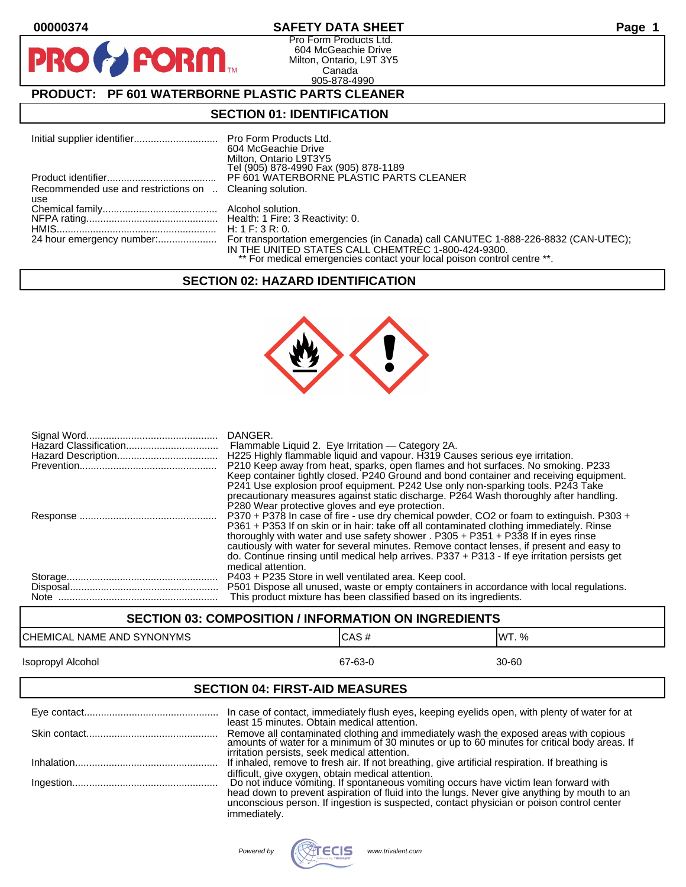$\bullet$ 

PR

## **00000374 SAFETY DATA SHEET Page 1**

Pro Form Products Ltd. 604 McGeachie Drive Milton, Ontario, L9T 3Y5 Canada 905-878-4990

# **PRODUCT: PF 601 WATERBORNE PLASTIC PARTS CLEANER**

**FORM** 

## **SECTION 01: IDENTIFICATION**

|                                                         | 604 McGeachie Drive<br>Milton, Ontario L9T3Y5<br>Tel (905) 878-4990 Fax (905) 878-1189 |
|---------------------------------------------------------|----------------------------------------------------------------------------------------|
|                                                         | PF 601 WATERBORNE PLASTIC PARTS CLEANER                                                |
| Recommended use and restrictions on  Cleaning solution. |                                                                                        |
| use                                                     |                                                                                        |
|                                                         |                                                                                        |
|                                                         |                                                                                        |
|                                                         |                                                                                        |
|                                                         |                                                                                        |
|                                                         | IN THE UNITED STATES CALL CHEMTREC 1-800-424-9300.                                     |
|                                                         | ** For medical emergencies contact your local poison control centre **.                |

#### **SECTION 02: HAZARD IDENTIFICATION**



| DANGER.<br>Flammable Liquid 2. Eye Irritation — Category 2A.<br>H225 Highly flammable liquid and vapour. H319 Causes serious eye irritation.                                                                                                                              |
|---------------------------------------------------------------------------------------------------------------------------------------------------------------------------------------------------------------------------------------------------------------------------|
| P210 Keep away from heat, sparks, open flames and hot surfaces. No smoking. P233<br>Keep container tightly closed. P240 Ground and bond container and receiving equipment.                                                                                                |
| P241 Use explosion proof equipment. P242 Use only non-sparking tools. P243 Take<br>precautionary measures against static discharge. P264 Wash thoroughly after handling.<br>P280 Wear protective gloves and eye protection.                                               |
| P370 + P378 In case of fire - use dry chemical powder, CO2 or foam to extinguish. P303 +<br>P361 + P353 If on skin or in hair: take off all contaminated clothing immediately. Rinse<br>thoroughly with water and use safety shower . P305 + P351 + P338 If in eyes rinse |
| cautiously with water for several minutes. Remove contact lenses, if present and easy to<br>do. Continue rinsing until medical help arrives. P337 + P313 - If eye irritation persists get<br>medical attention.                                                           |
| P403 + P235 Store in well ventilated area. Keep cool.                                                                                                                                                                                                                     |
| P501 Dispose all unused, waste or empty containers in accordance with local regulations.                                                                                                                                                                                  |
| This product mixture has been classified based on its ingredients.                                                                                                                                                                                                        |

# **SECTION 03: COMPOSITION / INFORMATION ON INGREDIENTS** CHEMICAL NAME AND SYNONYMS CHEMICAL NAME AND SYNONYMS Isopropyl Alcohol 67-63-0 30-60 **SECTION 04: FIRST-AID MEASURES**

| In case of contact, immediately flush eyes, keeping eyelids open, with plenty of water for at                                                                                                                                    |
|----------------------------------------------------------------------------------------------------------------------------------------------------------------------------------------------------------------------------------|
| least 15 minutes. Obtain medical attention.<br>Remove all contaminated clothing and immediately wash the exposed areas with copious amounts of water for a minimum of 30 minutes or up to 60 minutes for critical body areas. If |
| irritation persists, seek medical attention.<br>If inhaled, remove to fresh air. If not breathing, give artificial respiration. If breathing is                                                                                  |
| difficult, give oxygen, obtain medical attention.<br>Do not induce vomiting. If spontaneous vomiting occurs have victim lean forward with                                                                                        |
| head down to prevent aspiration of fluid into the lungs. Never give anything by mouth to an<br>unconscious person. If ingestion is suspected, contact physician or poison control center<br>immediately.                         |

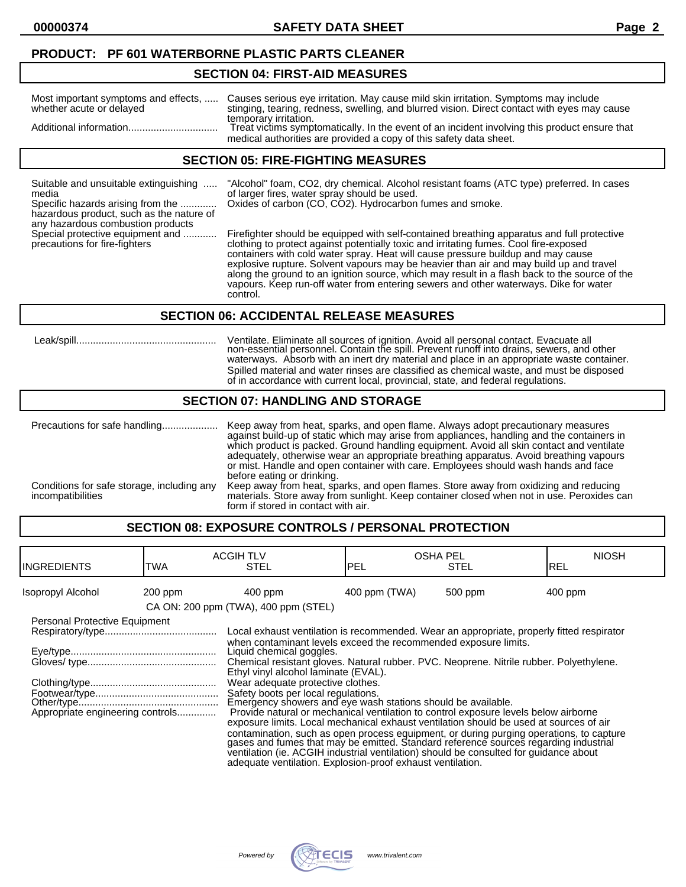#### **PRODUCT: PF 601 WATERBORNE PLASTIC PARTS CLEANER**

#### **SECTION 04: FIRST-AID MEASURES**

| Most important symptoms and effects, | Causes serious eye irritation. May cause mild skin irritation. Symptoms may include                                                                                                          |
|--------------------------------------|----------------------------------------------------------------------------------------------------------------------------------------------------------------------------------------------|
| whether acute or delayed             | stinging, tearing, redness, swelling, and blurred vision. Direct contact with eyes may cause                                                                                                 |
|                                      | temporary irritation.<br>Treat victims symptomatically. In the event of an incident involving this product ensure that<br>medical authorities are provided a copy of this safety data sheet. |

#### **SECTION 05: FIRE-FIGHTING MEASURES**

| Suitable and unsuitable extinguishing    |
|------------------------------------------|
| media                                    |
| Specific hazards arising from the        |
| hazardous product, such as the nature of |
| any hazardous combustion products        |

"Alcohol" foam, CO2, dry chemical. Alcohol resistant foams (ATC type) preferred. In cases of larger fires, water spray should be used. Oxides of carbon (CO, CO2). Hydrocarbon fumes and smoke.

Special protective equipment and ............ Firefighter should be equipped with self-contained breathing apparatus and full protective precautions for fire-fighters clothing to protect against potentially toxic and irritating fumes. Cool fire-exposed containers with cold water spray. Heat will cause pressure buildup and may cause explosive rupture. Solvent vapours may be heavier than air and may build up and travel along the ground to an ignition source, which may result in a flash back to the source of the vapours. Keep run-off water from entering sewers and other waterways. Dike for water control.

#### **SECTION 06: ACCIDENTAL RELEASE MEASURES**

 Leak/spill.................................................. Ventilate. Eliminate all sources of ignition. Avoid all personal contact. Evacuate all non-essential personnel. Contain the spill. Prevent runoff into drains, sewers, and other waterways. Absorb with an inert dry material and place in an appropriate waste container. Spilled material and water rinses are classified as chemical waste, and must be disposed of in accordance with current local, provincial, state, and federal regulations.

#### **SECTION 07: HANDLING AND STORAGE**

Precautions for safe handling.................... Keep away from heat, sparks, and open flame. Always adopt precautionary measures against build-up of static which may arise from appliances, handling and the containers in which product is packed. Ground handling equipment. Avoid all skin contact and ventilate adequately, otherwise wear an appropriate breathing apparatus. Avoid breathing vapours or mist. Handle and open container with care. Employees should wash hands and face before eating or drinking. Conditions for safe storage, including any Keep away from heat, sparks, and open flames. Store away from oxidizing and reducing incompatibilities materials. Store away from sunlight. Keep container closed when not in use. Peroxides can form if stored in contact with air.

# **SECTION 08: EXPOSURE CONTROLS / PERSONAL PROTECTION**

| <b>INGREDIENTS</b>               | TWA       | <b>ACGIH TLV</b><br><b>STEL</b>                                                                                                                                                                                                                                                      | <b>OSHA PEL</b><br><b>PEL</b> | <b>STEL</b> | <b>NIOSH</b><br>IREL |
|----------------------------------|-----------|--------------------------------------------------------------------------------------------------------------------------------------------------------------------------------------------------------------------------------------------------------------------------------------|-------------------------------|-------------|----------------------|
| Isopropyl Alcohol                | $200$ ppm | $400$ ppm                                                                                                                                                                                                                                                                            | 400 ppm (TWA)                 | 500 ppm     | $400$ ppm            |
|                                  |           | CA ON: 200 ppm (TWA), 400 ppm (STEL)                                                                                                                                                                                                                                                 |                               |             |                      |
| Personal Protective Equipment    |           |                                                                                                                                                                                                                                                                                      |                               |             |                      |
|                                  |           | Local exhaust ventilation is recommended. Wear an appropriate, properly fitted respirator                                                                                                                                                                                            |                               |             |                      |
|                                  |           | when contaminant levels exceed the recommended exposure limits.<br>Liquid chemical goggles.<br>Chemical resistant gloves. Natural rubber. PVC. Neoprene. Nitrile rubber. Polyethylene.<br>Ethyl vinyl alcohol laminate (EVAL).                                                       |                               |             |                      |
|                                  |           | Wear adequate protective clothes.                                                                                                                                                                                                                                                    |                               |             |                      |
| Appropriate engineering controls |           | Safety boots per local regulations.<br>Emergency showers and eye wash stations should be available.<br>Provide natural or mechanical ventilation to control exposure levels below airborne<br>exposure limits. Local mechanical exhaust ventilation should be used at sources of air |                               |             |                      |
|                                  |           | contamination, such as open process equipment, or during purging operations, to capture gases and fumes that may be emitted. Standard reference sources regarding industrial<br>ventilation (ie. ACGIH industrial ventilation) should be consulted for quidance about                |                               |             |                      |

adequate ventilation. Explosion-proof exhaust ventilation.

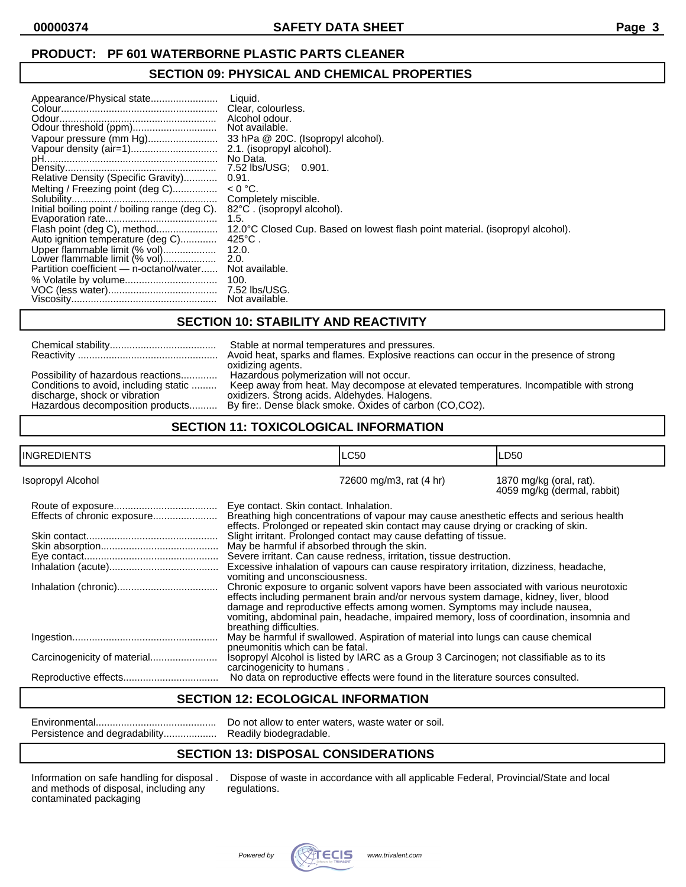# **PRODUCT: PF 601 WATERBORNE PLASTIC PARTS CLEANER**

#### **SECTION 09: PHYSICAL AND CHEMICAL PROPERTIES**

# **SECTION 10: STABILITY AND REACTIVITY**

|                                       | Stable at normal temperatures and pressures.                                            |  |
|---------------------------------------|-----------------------------------------------------------------------------------------|--|
|                                       | Avoid heat, sparks and flames. Explosive reactions can occur in the presence of strong  |  |
|                                       | oxidizing agents.                                                                       |  |
| Possibility of hazardous reactions    | Hazardous polymerization will not occur.                                                |  |
| Conditions to avoid, including static | Keep away from heat. May decompose at elevated temperatures. Incompatible with strong   |  |
| discharge, shock or vibration         | oxidizers. Strong acids. Aldehydes. Halogens.                                           |  |
|                                       | Hazardous decomposition products By fire: Dense black smoke. Oxides of carbon (CO,CO2). |  |
|                                       |                                                                                         |  |

## **SECTION 11: TOXICOLOGICAL INFORMATION**

| INGREDIENTS       |                                                                                                                                                                                                                                                                                                                                                                                    | <b>LC50</b>                                                                                                                                                                  | LD50                                                   |
|-------------------|------------------------------------------------------------------------------------------------------------------------------------------------------------------------------------------------------------------------------------------------------------------------------------------------------------------------------------------------------------------------------------|------------------------------------------------------------------------------------------------------------------------------------------------------------------------------|--------------------------------------------------------|
| Isopropyl Alcohol |                                                                                                                                                                                                                                                                                                                                                                                    | 72600 mg/m3, rat (4 hr)                                                                                                                                                      | 1870 mg/kg (oral, rat).<br>4059 mg/kg (dermal, rabbit) |
|                   | Eye contact. Skin contact. Inhalation.                                                                                                                                                                                                                                                                                                                                             | Breathing high concentrations of vapour may cause anesthetic effects and serious health<br>effects. Prolonged or repeated skin contact may cause drying or cracking of skin. |                                                        |
|                   | May be harmful if absorbed through the skin.                                                                                                                                                                                                                                                                                                                                       | Slight irritant. Prolonged contact may cause defatting of tissue.                                                                                                            |                                                        |
|                   | vomiting and unconsciousness.                                                                                                                                                                                                                                                                                                                                                      | Severe irritant. Can cause redness, irritation, tissue destruction.<br>Excessive inhalation of vapours can cause respiratory irritation, dizziness, headache,                |                                                        |
|                   | Chronic exposure to organic solvent vapors have been associated with various neurotoxic<br>effects including permanent brain and/or nervous system damage, kidney, liver, blood<br>damage and reproductive effects among women. Symptoms may include nausea,<br>vomiting, abdominal pain, headache, impaired memory, loss of coordination, insomnia and<br>breathing difficulties. |                                                                                                                                                                              |                                                        |
|                   | pneumonitis which can be fatal.                                                                                                                                                                                                                                                                                                                                                    | May be harmful if swallowed. Aspiration of material into lungs can cause chemical                                                                                            |                                                        |
|                   | carcinogenicity to humans.                                                                                                                                                                                                                                                                                                                                                         | Isopropyl Alcohol is listed by IARC as a Group 3 Carcinogen; not classifiable as to its                                                                                      |                                                        |
|                   |                                                                                                                                                                                                                                                                                                                                                                                    | No data on reproductive effects were found in the literature sources consulted.                                                                                              |                                                        |

#### **SECTION 12: ECOLOGICAL INFORMATION**

|                               | Do not  |
|-------------------------------|---------|
| Persistence and degradability | Readily |

y biodegradable.

allow to enter waters, waste water or soil.

# **SECTION 13: DISPOSAL CONSIDERATIONS**

and methods of disposal, including any contaminated packaging

Information on safe handling for disposal . Dispose of waste in accordance with all applicable Federal, Provincial/State and local